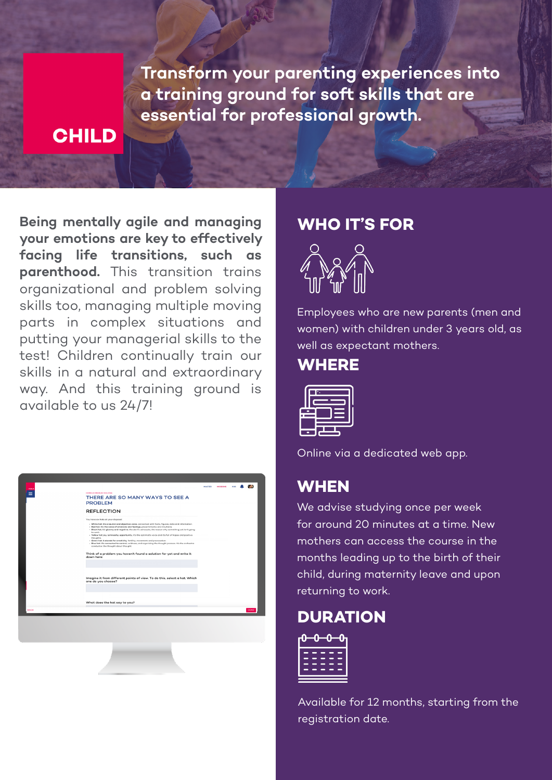**Transform your parenting experiences into a training ground for soft skills that are essential for professional growth.**

### **CHILD**

**Being mentally agile and managing your emotions are key to effectively facing life transitions, such as parenthood.** This transition trains organizational and problem solving skills too, managing multiple moving parts in complex situations and putting your managerial skills to the test! Children continually train our skills in a natural and extraordinary way. And this training ground is available to us 24/7!

| COMPLEX PROTEZH SOLVING<br>THERE ARE SO MANY WAYS TO SEE A<br><b>PROBLEM</b><br><b>REFLECTION</b><br>You have six hats at your disposal.                                                                                                                                                                                                                                                                                                                                                                                 |  |
|--------------------------------------------------------------------------------------------------------------------------------------------------------------------------------------------------------------------------------------------------------------------------------------------------------------------------------------------------------------------------------------------------------------------------------------------------------------------------------------------------------------------------|--|
|                                                                                                                                                                                                                                                                                                                                                                                                                                                                                                                          |  |
|                                                                                                                                                                                                                                                                                                                                                                                                                                                                                                                          |  |
| . White hat: it's a neutral and objective voice, concerned with facts, figures, data and information.<br>- Red hat: it's the voice of emations and feelings, presentiments and intuitions.<br>. Black hat: it's gloomy and negotive, the devil's advocate, the reason why something just isn't going<br>to work<br>- Yellow hat: joy, luminosity, opportunity, it's the optimist's voice and it's full of hopes and positive<br>thoughts.<br>- Green hat: it stands for creativity, fertility, movement and provocation. |  |
| . Blue hat: it's connected to control, coldness, and organizing the thought process. It's the orchestra<br>conductor, the thought about thought.<br>Think of a problem you haven't found a solution for yet and write it<br>down here:                                                                                                                                                                                                                                                                                   |  |
|                                                                                                                                                                                                                                                                                                                                                                                                                                                                                                                          |  |
| Imagine it from different points of view. To do this, select a hat. Which<br>one do you choose?                                                                                                                                                                                                                                                                                                                                                                                                                          |  |
|                                                                                                                                                                                                                                                                                                                                                                                                                                                                                                                          |  |
| What does the hat say to you?                                                                                                                                                                                                                                                                                                                                                                                                                                                                                            |  |
| <b>BACK</b>                                                                                                                                                                                                                                                                                                                                                                                                                                                                                                              |  |

#### **WHO IT'S FOR**



Employees who are new parents (men and women) with children under 3 years old, as well as expectant mothers.

#### **WHERE**



Online via a dedicated web app.

### **WHEN**

We advise studying once per week for around 20 minutes at a time. New mothers can access the course in the months leading up to the birth of their child, during maternity leave and upon returning to work.

### **DURATION**



Available for 12 months, starting from the registration date.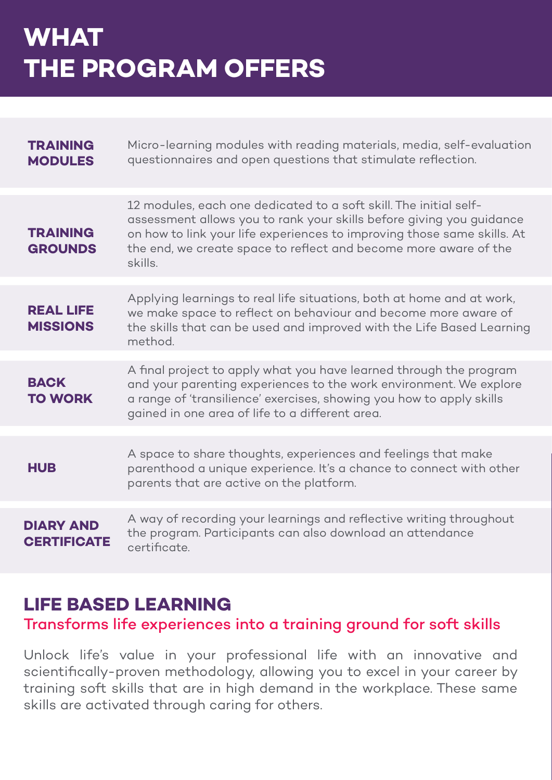## **WHAT THE PROGRAM OFFERS**

| <b>TRAINING</b><br><b>MODULES</b>      | Micro-learning modules with reading materials, media, self-evaluation<br>questionnaires and open questions that stimulate reflection.                                                                                                                                                               |
|----------------------------------------|-----------------------------------------------------------------------------------------------------------------------------------------------------------------------------------------------------------------------------------------------------------------------------------------------------|
| <b>TRAINING</b><br><b>GROUNDS</b>      | 12 modules, each one dedicated to a soft skill. The initial self-<br>assessment allows you to rank your skills before giving you guidance<br>on how to link your life experiences to improving those same skills. At<br>the end, we create space to reflect and become more aware of the<br>skills. |
| <b>REAL LIFE</b><br><b>MISSIONS</b>    | Applying learnings to real life situations, both at home and at work,<br>we make space to reflect on behaviour and become more aware of<br>the skills that can be used and improved with the Life Based Learning<br>method.                                                                         |
| <b>BACK</b><br><b>TO WORK</b>          | A final project to apply what you have learned through the program<br>and your parenting experiences to the work environment. We explore<br>a range of 'transilience' exercises, showing you how to apply skills<br>gained in one area of life to a different area.                                 |
| <b>HUB</b>                             | A space to share thoughts, experiences and feelings that make<br>parenthood a unique experience. It's a chance to connect with other<br>parents that are active on the platform.                                                                                                                    |
| <b>DIARY AND</b><br><b>CERTIFICATE</b> | A way of recording your learnings and reflective writing throughout<br>the program. Participants can also download an attendance<br>certificate.                                                                                                                                                    |

## **LIFE BASED LEARNING**

#### Transforms life experiences into a training ground for soft skills

Unlock life's value in your professional life with an innovative and scientifically-proven methodology, allowing you to excel in your career by training soft skills that are in high demand in the workplace. These same skills are activated through caring for others.